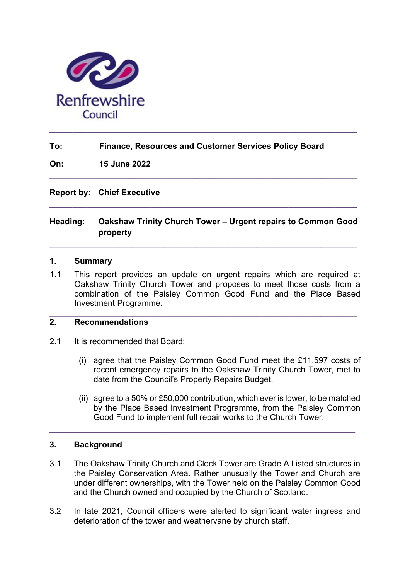

## To: Finance, Resources and Customer Services Policy Board

On: 15 June 2022

Report by: Chief Executive

# Heading: Oakshaw Trinity Church Tower – Urgent repairs to Common Good property

 $\_$  ,  $\_$  ,  $\_$  ,  $\_$  ,  $\_$  ,  $\_$  ,  $\_$  ,  $\_$  ,  $\_$  ,  $\_$  ,  $\_$  ,  $\_$  ,  $\_$  ,  $\_$  ,  $\_$  ,  $\_$  ,  $\_$  ,  $\_$  ,  $\_$ 

 $\_$  ,  $\_$  ,  $\_$  ,  $\_$  ,  $\_$  ,  $\_$  ,  $\_$  ,  $\_$  ,  $\_$  ,  $\_$  ,  $\_$  ,  $\_$  ,  $\_$  ,  $\_$  ,  $\_$  ,  $\_$  ,  $\_$  ,  $\_$  ,  $\_$ 

 $\_$  ,  $\_$  ,  $\_$  ,  $\_$  ,  $\_$  ,  $\_$  ,  $\_$  ,  $\_$  ,  $\_$  ,  $\_$  ,  $\_$  ,  $\_$  ,  $\_$  ,  $\_$  ,  $\_$  ,  $\_$  ,  $\_$  ,  $\_$  ,  $\_$ 

#### 1. Summary

1.1 This report provides an update on urgent repairs which are required at Oakshaw Trinity Church Tower and proposes to meet those costs from a combination of the Paisley Common Good Fund and the Place Based Investment Programme.

 $\_$  ,  $\_$  ,  $\_$  ,  $\_$  ,  $\_$  ,  $\_$  ,  $\_$  ,  $\_$  ,  $\_$  ,  $\_$  ,  $\_$  ,  $\_$  ,  $\_$  ,  $\_$  ,  $\_$  ,  $\_$  ,  $\_$  ,  $\_$  ,  $\_$ 

# 2. Recommendations

- 2.1 It is recommended that Board:
	- (i) agree that the Paisley Common Good Fund meet the £11,597 costs of recent emergency repairs to the Oakshaw Trinity Church Tower, met to date from the Council's Property Repairs Budget.
	- (ii) agree to a 50% or £50,000 contribution, which ever is lower, to be matched by the Place Based Investment Programme, from the Paisley Common Good Fund to implement full repair works to the Church Tower.

## 3. Background

3.1 The Oakshaw Trinity Church and Clock Tower are Grade A Listed structures in the Paisley Conservation Area. Rather unusually the Tower and Church are under different ownerships, with the Tower held on the Paisley Common Good and the Church owned and occupied by the Church of Scotland.

\_\_\_\_\_\_\_\_\_\_\_\_\_\_\_\_\_\_\_\_\_\_\_\_\_\_\_\_\_\_\_\_\_\_\_\_\_\_\_\_\_\_\_\_\_\_\_\_\_\_\_\_\_\_\_\_\_

3.2 In late 2021, Council officers were alerted to significant water ingress and deterioration of the tower and weathervane by church staff.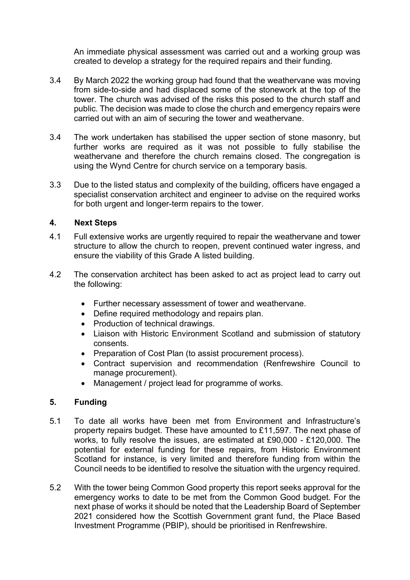An immediate physical assessment was carried out and a working group was created to develop a strategy for the required repairs and their funding.

- 3.4 By March 2022 the working group had found that the weathervane was moving from side-to-side and had displaced some of the stonework at the top of the tower. The church was advised of the risks this posed to the church staff and public. The decision was made to close the church and emergency repairs were carried out with an aim of securing the tower and weathervane.
- 3.4 The work undertaken has stabilised the upper section of stone masonry, but further works are required as it was not possible to fully stabilise the weathervane and therefore the church remains closed. The congregation is using the Wynd Centre for church service on a temporary basis.
- 3.3 Due to the listed status and complexity of the building, officers have engaged a specialist conservation architect and engineer to advise on the required works for both urgent and longer-term repairs to the tower.

## 4. Next Steps

- 4.1 Full extensive works are urgently required to repair the weathervane and tower structure to allow the church to reopen, prevent continued water ingress, and ensure the viability of this Grade A listed building.
- 4.2 The conservation architect has been asked to act as project lead to carry out the following:
	- Further necessary assessment of tower and weathervane.
	- Define required methodology and repairs plan.
	- Production of technical drawings.
	- Liaison with Historic Environment Scotland and submission of statutory consents.
	- Preparation of Cost Plan (to assist procurement process).
	- Contract supervision and recommendation (Renfrewshire Council to manage procurement).
	- Management / project lead for programme of works.

## 5. Funding

- 5.1 To date all works have been met from Environment and Infrastructure's property repairs budget. These have amounted to £11,597. The next phase of works, to fully resolve the issues, are estimated at £90,000 - £120,000. The potential for external funding for these repairs, from Historic Environment Scotland for instance, is very limited and therefore funding from within the Council needs to be identified to resolve the situation with the urgency required.
- 5.2 With the tower being Common Good property this report seeks approval for the emergency works to date to be met from the Common Good budget. For the next phase of works it should be noted that the Leadership Board of September 2021 considered how the Scottish Government grant fund, the Place Based Investment Programme (PBIP), should be prioritised in Renfrewshire.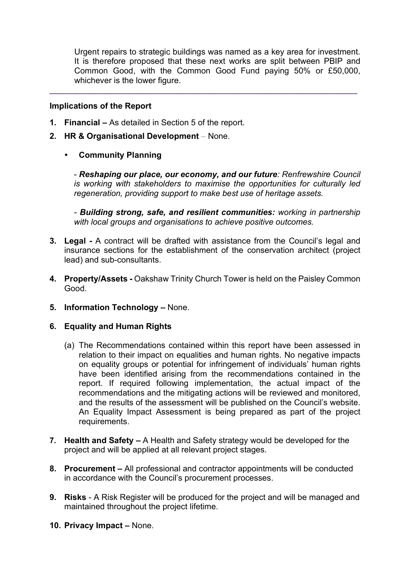Urgent repairs to strategic buildings was named as a key area for investment. It is therefore proposed that these next works are split between PBIP and Common Good, with the Common Good Fund paying 50% or £50,000, whichever is the lower figure.

 $\_$  ,  $\_$  ,  $\_$  ,  $\_$  ,  $\_$  ,  $\_$  ,  $\_$  ,  $\_$  ,  $\_$  ,  $\_$  ,  $\_$  ,  $\_$  ,  $\_$  ,  $\_$  ,  $\_$  ,  $\_$  ,  $\_$  ,  $\_$  ,  $\_$ 

#### Implications of the Report

- 1. Financial As detailed in Section 5 of the report.
- 2. HR & Organisational Development None.
	- Community Planning

- Reshaping our place, our economy, and our future: Renfrewshire Council is working with stakeholders to maximise the opportunities for culturally led regeneration, providing support to make best use of heritage assets.

- Building strong, safe, and resilient communities: working in partnership with local groups and organisations to achieve positive outcomes.

- 3. Legal A contract will be drafted with assistance from the Council's legal and insurance sections for the establishment of the conservation architect (project lead) and sub-consultants.
- 4. Property/Assets Oakshaw Trinity Church Tower is held on the Paisley Common Good.
- 5. Information Technology None.

#### 6. Equality and Human Rights

- (a) The Recommendations contained within this report have been assessed in relation to their impact on equalities and human rights. No negative impacts on equality groups or potential for infringement of individuals' human rights have been identified arising from the recommendations contained in the report. If required following implementation, the actual impact of the recommendations and the mitigating actions will be reviewed and monitored, and the results of the assessment will be published on the Council's website. An Equality Impact Assessment is being prepared as part of the project requirements.
- 7. Health and Safety A Health and Safety strategy would be developed for the project and will be applied at all relevant project stages.
- 8. Procurement All professional and contractor appointments will be conducted in accordance with the Council's procurement processes.
- 9. Risks A Risk Register will be produced for the project and will be managed and maintained throughout the project lifetime.
- 10. Privacy Impact None.